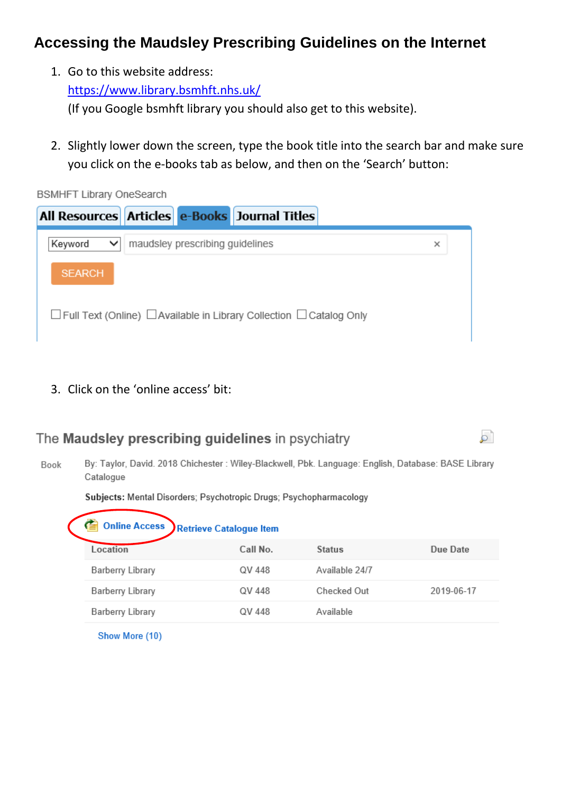# **Accessing the Maudsley Prescribing Guidelines on the Internet**

1. Go to this website address:

<https://www.library.bsmhft.nhs.uk/>

(If you Google bsmhft library you should also get to this website).

2. Slightly lower down the screen, type the book title into the search bar and make sure you click on the e-books tab as below, and then on the 'Search' button:

**BSMHFT Library OneSearch** 



3. Click on the 'online access' bit:

### The Maudsley prescribing quidelines in psychiatry

By: Taylor, David. 2018 Chichester : Wiley-Blackwell, Pbk. Language: English, Database: BASE Library Book Catalogue

أقر

#### Subjects: Mental Disorders; Psychotropic Drugs; Psychopharmacology

| <b>Online Access</b><br>E<br><b>Retrieve Catalogue Item</b> |          |                |            |
|-------------------------------------------------------------|----------|----------------|------------|
| Location                                                    | Call No. | <b>Status</b>  | Due Date   |
| Barberry Library                                            | QV 448   | Available 24/7 |            |
| Barberry Library                                            | QV 448   | Checked Out    | 2019-06-17 |
| Barberry Library                                            | QV 448   | Available      |            |
|                                                             |          |                |            |

Show More (10)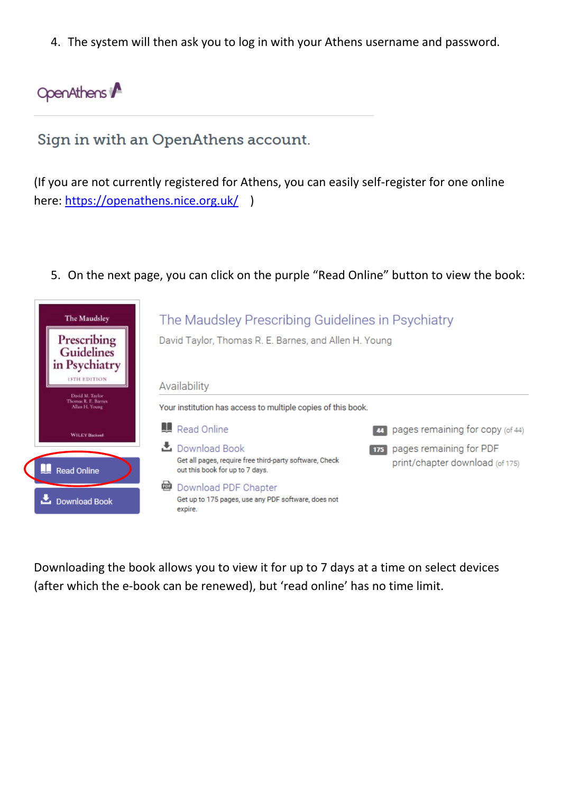4. The system will then ask you to log in with your Athens username and password.

# OpenAthens

# Sign in with an OpenAthens account.

(If you are not currently registered for Athens, you can easily self-register for one online here:<https://openathens.nice.org.uk/>)

5. On the next page, you can click on the purple "Read Online" button to view the book:



Downloading the book allows you to view it for up to 7 days at a time on select devices (after which the e-book can be renewed), but 'read online' has no time limit.